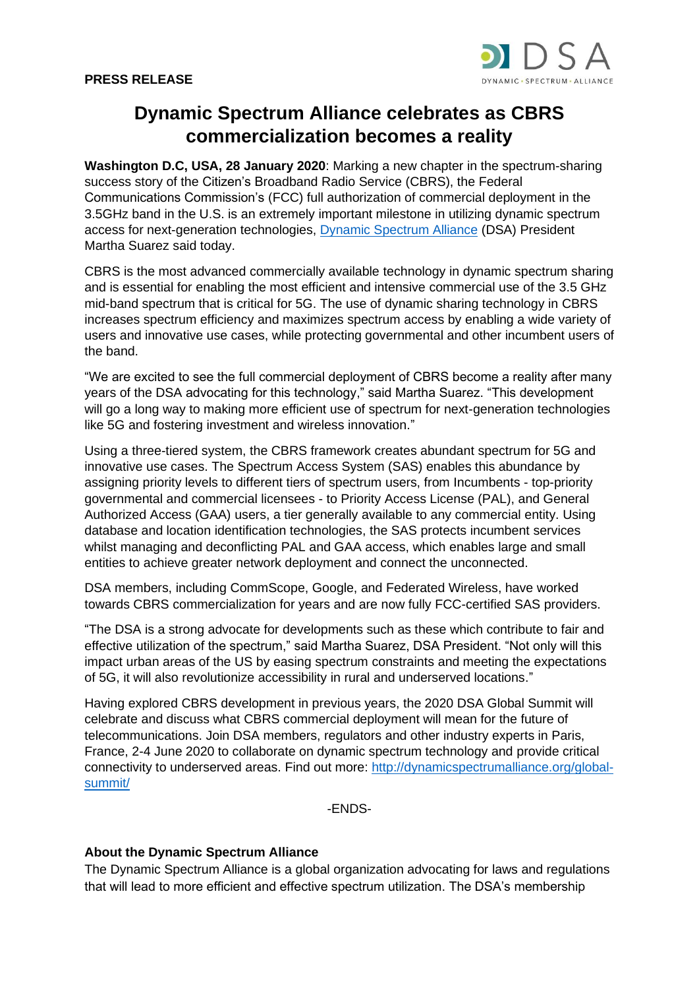

## **Dynamic Spectrum Alliance celebrates as CBRS commercialization becomes a reality**

**Washington D.C, USA, 28 January 2020**: Marking a new chapter in the spectrum-sharing success story of the Citizen's Broadband Radio Service (CBRS), the Federal Communications Commission's (FCC) full authorization of commercial deployment in the 3.5GHz band in the U.S. is an extremely important milestone in utilizing dynamic spectrum access for next-generation technologies, [Dynamic Spectrum Alliance](http://dynamicspectrumalliance.org/) (DSA) President Martha Suarez said today.

CBRS is the most advanced commercially available technology in dynamic spectrum sharing and is essential for enabling the most efficient and intensive commercial use of the 3.5 GHz mid-band spectrum that is critical for 5G. The use of dynamic sharing technology in CBRS increases spectrum efficiency and maximizes spectrum access by enabling a wide variety of users and innovative use cases, while protecting governmental and other incumbent users of the band.

"We are excited to see the full commercial deployment of CBRS become a reality after many years of the DSA advocating for this technology," said Martha Suarez. "This development will go a long way to making more efficient use of spectrum for next-generation technologies like 5G and fostering investment and wireless innovation."

Using a three-tiered system, the CBRS framework creates abundant spectrum for 5G and innovative use cases. The Spectrum Access System (SAS) enables this abundance by assigning priority levels to different tiers of spectrum users, from Incumbents - top-priority governmental and commercial licensees - to Priority Access License (PAL), and General Authorized Access (GAA) users, a tier generally available to any commercial entity. Using database and location identification technologies, the SAS protects incumbent services whilst managing and deconflicting PAL and GAA access, which enables large and small entities to achieve greater network deployment and connect the unconnected.

DSA members, including CommScope, Google, and Federated Wireless, have worked towards CBRS commercialization for years and are now fully FCC-certified SAS providers.

"The DSA is a strong advocate for developments such as these which contribute to fair and effective utilization of the spectrum," said Martha Suarez, DSA President. "Not only will this impact urban areas of the US by easing spectrum constraints and meeting the expectations of 5G, it will also revolutionize accessibility in rural and underserved locations."

Having explored CBRS development in previous years, the 2020 DSA Global Summit will celebrate and discuss what CBRS commercial deployment will mean for the future of telecommunications. Join DSA members, regulators and other industry experts in Paris, France, 2-4 June 2020 to collaborate on dynamic spectrum technology and provide critical connectivity to underserved areas. Find out more: [http://dynamicspectrumalliance.org/global](http://dynamicspectrumalliance.org/global-summit/)[summit/](http://dynamicspectrumalliance.org/global-summit/)

-ENDS-

## **About the Dynamic Spectrum Alliance**

The Dynamic Spectrum Alliance is a global organization advocating for laws and regulations that will lead to more efficient and effective spectrum utilization. The DSA's membership